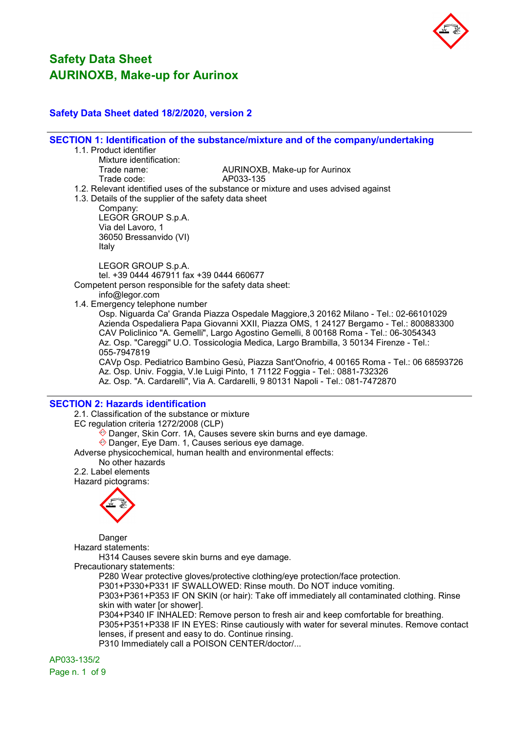

## Safety Data Sheet dated 18/2/2020, version 2

SECTION 1: Identification of the substance/mixture and of the company/undertaking

- 1.1. Product identifier
	- Mixture identification:<br>Trade name: Trade code:

AURINOXB, Make-up for Aurinox<br>AP033-135

- 
- 1.2. Relevant identified uses of the substance or mixture and uses advised against
- 1.3. Details of the supplier of the safety data sheet

Company:

LEGOR GROUP S.p.A. Via del Lavoro, 1 36050 Bressanvido (VI) Italy

LEGOR GROUP S.p.A.

tel. +39 0444 467911 fax +39 0444 660677

Competent person responsible for the safety data sheet:

info@legor.com

1.4. Emergency telephone number

Osp. Niguarda Ca' Granda Piazza Ospedale Maggiore,3 20162 Milano - Tel.: 02-66101029 Azienda Ospedaliera Papa Giovanni XXII, Piazza OMS, 1 24127 Bergamo - Tel.: 800883300 CAV Policlinico "A. Gemelli", Largo Agostino Gemelli, 8 00168 Roma - Tel.: 06-3054343 Az. Osp. "Careggi" U.O. Tossicologia Medica, Largo Brambilla, 3 50134 Firenze - Tel.: 055-7947819

CAVp Osp. Pediatrico Bambino Gesù, Piazza Sant'Onofrio, 4 00165 Roma - Tel.: 06 68593726 Az. Osp. Univ. Foggia, V.le Luigi Pinto, 1 71122 Foggia - Tel.: 0881-732326 Az. Osp. "A. Cardarelli", Via A. Cardarelli, 9 80131 Napoli - Tel.: 081-7472870

## SECTION 2: Hazards identification

2.1. Classification of the substance or mixture

EC regulation criteria 1272/2008 (CLP)

 $\hat{\otimes}$  Danger, Skin Corr. 1A, Causes severe skin burns and eye damage.

Danger, Eye Dam. 1, Causes serious eye damage.

Adverse physicochemical, human health and environmental effects:

No other hazards

2.2. Label elements Hazard pictograms:



Danger

Hazard statements:

H314 Causes severe skin burns and eye damage.

Precautionary statements:

P280 Wear protective gloves/protective clothing/eye protection/face protection.

P301+P330+P331 IF SWALLOWED: Rinse mouth. Do NOT induce vomiting.

P303+P361+P353 IF ON SKIN (or hair): Take off immediately all contaminated clothing. Rinse skin with water [or shower].

P304+P340 IF INHALED: Remove person to fresh air and keep comfortable for breathing. P305+P351+P338 IF IN EYES: Rinse cautiously with water for several minutes. Remove contact lenses, if present and easy to do. Continue rinsing.

P310 Immediately call a POISON CENTER/doctor/...

AP033-135/2

Page n. 1 of 9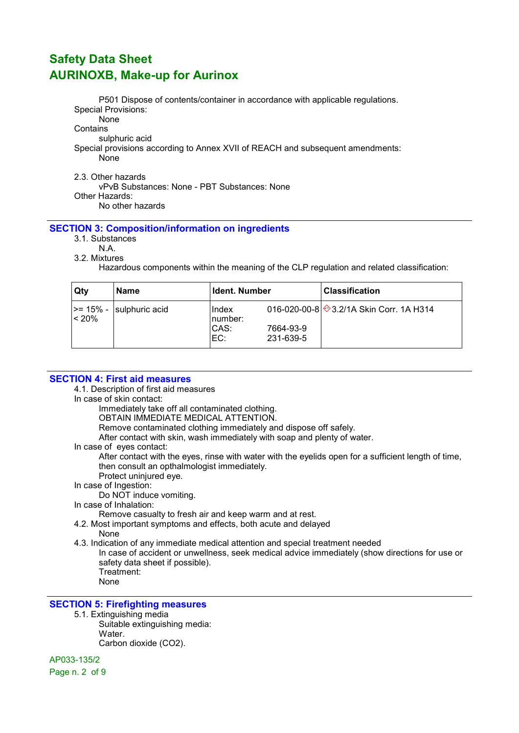P501 Dispose of contents/container in accordance with applicable regulations. Special Provisions:

None **Contains** 

sulphuric acid

Special provisions according to Annex XVII of REACH and subsequent amendments: None

2.3. Other hazards

vPvB Substances: None - PBT Substances: None Other Hazards: No other hazards

## SECTION 3: Composition/information on ingredients

- 3.1. Substances
	- N.A.
- 3.2. Mixtures

Hazardous components within the meaning of the CLP regulation and related classification:

| Qtv                | Name           | <b>Ident. Number</b>             |                        | <b>Classification</b>                  |
|--------------------|----------------|----------------------------------|------------------------|----------------------------------------|
| >= 15% -<br> < 20% | sulphuric acid | Index<br>∣number:<br>CAS:<br>EC: | 7664-93-9<br>231-639-5 | 016-020-00-8 3.2/1A Skin Corr. 1A H314 |

## SECTION 4: First aid measures

4.1. Description of first aid measures

In case of skin contact:

Immediately take off all contaminated clothing.

OBTAIN IMMEDIATE MEDICAL ATTENTION.

Remove contaminated clothing immediately and dispose off safely.

After contact with skin, wash immediately with soap and plenty of water.

In case of eyes contact:

After contact with the eyes, rinse with water with the eyelids open for a sufficient length of time, then consult an opthalmologist immediately.

Protect uninjured eye.

In case of Ingestion:

Do NOT induce vomiting.

In case of Inhalation:

Remove casualty to fresh air and keep warm and at rest.

4.2. Most important symptoms and effects, both acute and delayed

None

4.3. Indication of any immediate medical attention and special treatment needed

In case of accident or unwellness, seek medical advice immediately (show directions for use or safety data sheet if possible). Treatment:

None

## SECTION 5: Firefighting measures

- 5.1. Extinguishing media
	- Suitable extinguishing media: Water. Carbon dioxide (CO2).

AP033-135/2

Page n. 2 of 9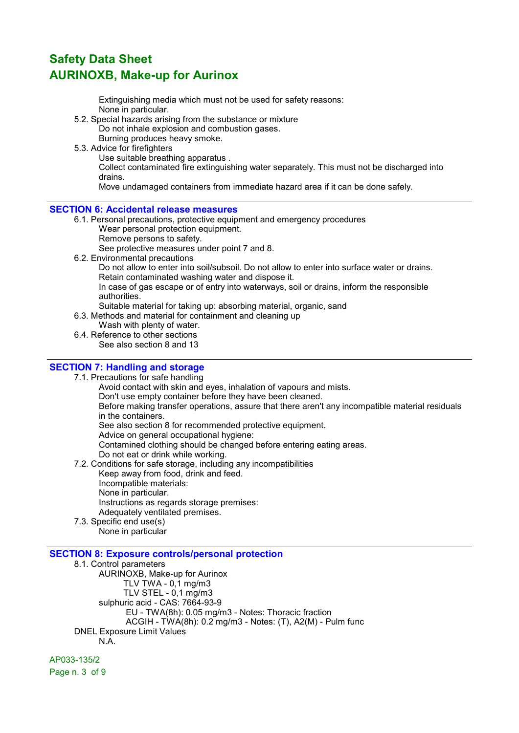Extinguishing media which must not be used for safety reasons: None in particular.

5.2. Special hazards arising from the substance or mixture Do not inhale explosion and combustion gases.

Burning produces heavy smoke.

5.3. Advice for firefighters

Use suitable breathing apparatus .

Collect contaminated fire extinguishing water separately. This must not be discharged into drains.

Move undamaged containers from immediate hazard area if it can be done safely.

## SECTION 6: Accidental release measures

6.1. Personal precautions, protective equipment and emergency procedures Wear personal protection equipment.

Remove persons to safety.

See protective measures under point 7 and 8.

6.2. Environmental precautions

Do not allow to enter into soil/subsoil. Do not allow to enter into surface water or drains. Retain contaminated washing water and dispose it.

In case of gas escape or of entry into waterways, soil or drains, inform the responsible authorities.

Suitable material for taking up: absorbing material, organic, sand

6.3. Methods and material for containment and cleaning up

Wash with plenty of water.

6.4. Reference to other sections See also section 8 and 13

## SECTION 7: Handling and storage

7.1. Precautions for safe handling

Avoid contact with skin and eyes, inhalation of vapours and mists. Don't use empty container before they have been cleaned.

Before making transfer operations, assure that there aren't any incompatible material residuals in the containers.

See also section 8 for recommended protective equipment.

Advice on general occupational hygiene:

Contamined clothing should be changed before entering eating areas.

- Do not eat or drink while working.
- 7.2. Conditions for safe storage, including any incompatibilities Keep away from food, drink and feed. Incompatible materials: None in particular. Instructions as regards storage premises: Adequately ventilated premises.
- 7.3. Specific end use(s)

None in particular

## SECTION 8: Exposure controls/personal protection

8.1. Control parameters AURINOXB, Make-up for Aurinox TLV TWA - 0,1 mg/m3 TLV STEL - 0,1 mg/m3 sulphuric acid - CAS: 7664-93-9 EU - TWA(8h): 0.05 mg/m3 - Notes: Thoracic fraction ACGIH - TWA(8h): 0.2 mg/m3 - Notes: (T), A2(M) - Pulm func DNEL Exposure Limit Values N.A.

AP033-135/2 Page n. 3 of 9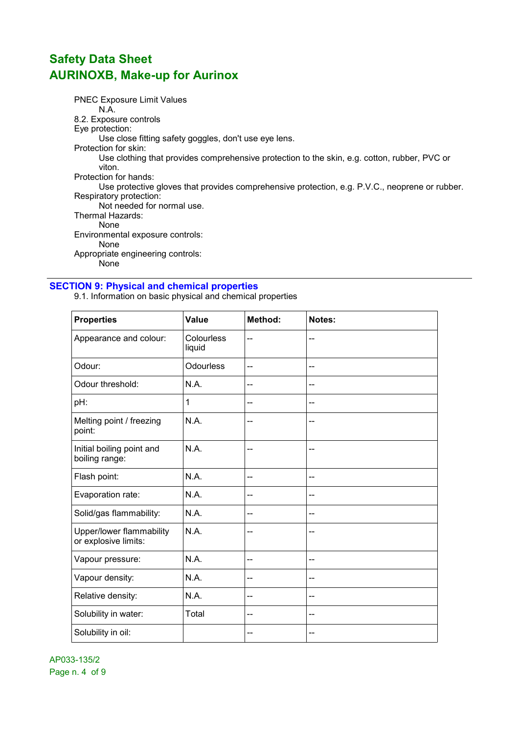PNEC Exposure Limit Values N.A. 8.2. Exposure controls Eye protection: Use close fitting safety goggles, don't use eye lens. Protection for skin: Use clothing that provides comprehensive protection to the skin, e.g. cotton, rubber, PVC or viton. Protection for hands: Use protective gloves that provides comprehensive protection, e.g. P.V.C., neoprene or rubber. Respiratory protection: Not needed for normal use. Thermal Hazards: None Environmental exposure controls: None Appropriate engineering controls: None

## SECTION 9: Physical and chemical properties

9.1. Information on basic physical and chemical properties

| <b>Properties</b>                                | Value                | Method: | Notes:         |
|--------------------------------------------------|----------------------|---------|----------------|
| Appearance and colour:                           | Colourless<br>liquid | --      | --             |
| Odour:                                           | <b>Odourless</b>     | $-$     | --             |
| Odour threshold:                                 | N.A.                 | --      | --             |
| pH:                                              | 1                    | --      | --             |
| Melting point / freezing<br>point:               | N.A.                 | --      | --             |
| Initial boiling point and<br>boiling range:      | N.A.                 | --      | --             |
| Flash point:                                     | N.A.                 | $-$     | $\overline{a}$ |
| Evaporation rate:                                | N.A.                 | --      | --             |
| Solid/gas flammability:                          | N.A.                 | --      | --             |
| Upper/lower flammability<br>or explosive limits: | N.A.                 | --      | --             |
| Vapour pressure:                                 | N.A.                 | --      | --             |
| Vapour density:                                  | N.A.                 | --      | --             |
| Relative density:                                | N.A.                 | --      | --             |
| Solubility in water:                             | Total                | --      | --             |
| Solubility in oil:                               |                      | --      | --             |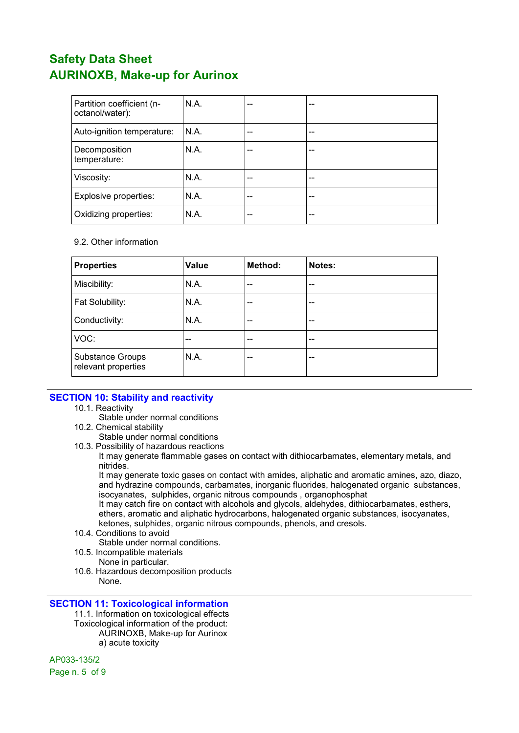| Partition coefficient (n-<br>octanol/water): | N.A. | -- | -- |
|----------------------------------------------|------|----|----|
| Auto-ignition temperature:                   | N.A. | -- | -- |
| Decomposition<br>temperature:                | N.A. | -- | -- |
| Viscosity:                                   | N.A. | -- | -- |
| Explosive properties:                        | N.A. | -- | -- |
| Oxidizing properties:                        | N.A. | -- | -- |

#### 9.2. Other information

| <b>Properties</b>                       | <b>Value</b> | Method: | Notes: |
|-----------------------------------------|--------------|---------|--------|
| Miscibility:                            | N.A.         | --      | $- -$  |
| Fat Solubility:                         | N.A.         | --      | --     |
| Conductivity:                           | N.A.         | $-$     | --     |
| VOC:                                    | --           | --      | $- -$  |
| Substance Groups<br>relevant properties | N.A.         | --      | --     |

## SECTION 10: Stability and reactivity

- 10.1. Reactivity
	- Stable under normal conditions
- 10.2. Chemical stability
	- Stable under normal conditions
- 10.3. Possibility of hazardous reactions

It may generate flammable gases on contact with dithiocarbamates, elementary metals, and nitrides.

It may generate toxic gases on contact with amides, aliphatic and aromatic amines, azo, diazo, and hydrazine compounds, carbamates, inorganic fluorides, halogenated organic substances, isocyanates, sulphides, organic nitrous compounds , organophosphat

It may catch fire on contact with alcohols and glycols, aldehydes, dithiocarbamates, esthers, ethers, aromatic and aliphatic hydrocarbons, halogenated organic substances, isocyanates, ketones, sulphides, organic nitrous compounds, phenols, and cresols.

10.4. Conditions to avoid

Stable under normal conditions.

- 10.5. Incompatible materials
	- None in particular.
- 10.6. Hazardous decomposition products None.

## SECTION 11: Toxicological information

11.1. Information on toxicological effects Toxicological information of the product: AURINOXB, Make-up for Aurinox a) acute toxicity

AP033-135/2

Page n. 5 of 9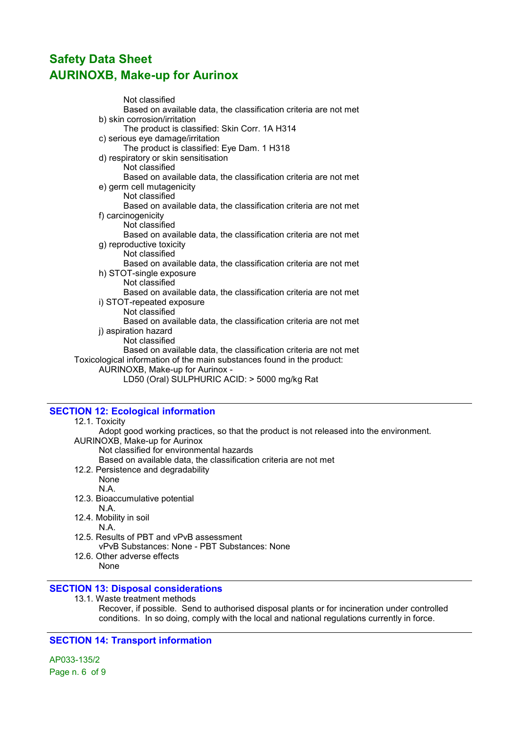Not classified Based on available data, the classification criteria are not met b) skin corrosion/irritation The product is classified: Skin Corr. 1A H314 c) serious eye damage/irritation The product is classified: Eye Dam. 1 H318 d) respiratory or skin sensitisation Not classified Based on available data, the classification criteria are not met e) germ cell mutagenicity Not classified Based on available data, the classification criteria are not met f) carcinogenicity Not classified Based on available data, the classification criteria are not met g) reproductive toxicity Not classified Based on available data, the classification criteria are not met h) STOT-single exposure Not classified Based on available data, the classification criteria are not met i) STOT-repeated exposure Not classified Based on available data, the classification criteria are not met j) aspiration hazard Not classified Based on available data, the classification criteria are not met Toxicological information of the main substances found in the product: AURINOXB, Make-up for Aurinox - LD50 (Oral) SULPHURIC ACID: > 5000 mg/kg Rat

## SECTION 12: Ecological information

#### 12.1. Toxicity

Adopt good working practices, so that the product is not released into the environment. AURINOXB, Make-up for Aurinox

Not classified for environmental hazards

- Based on available data, the classification criteria are not met
- 12.2. Persistence and degradability

None N.A.

- 12.3. Bioaccumulative potential N.A.
- 12.4. Mobility in soil N.A.
- 12.5. Results of PBT and vPvB assessment vPvB Substances: None - PBT Substances: None
- 12.6. Other adverse effects None

## SECTION 13: Disposal considerations

13.1. Waste treatment methods Recover, if possible. Send to authorised disposal plants or for incineration under controlled conditions. In so doing, comply with the local and national regulations currently in force.

## SECTION 14: Transport information

AP033-135/2 Page n. 6 of 9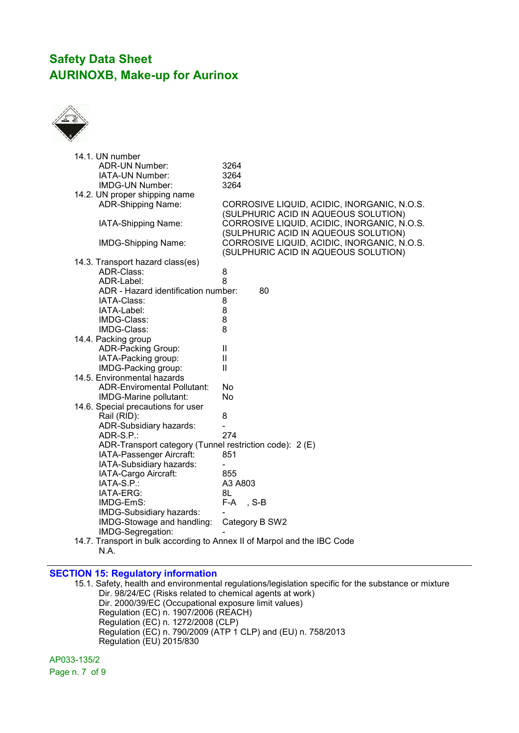

| 14.1. UN number                                                          |                                             |
|--------------------------------------------------------------------------|---------------------------------------------|
| <b>ADR-UN Number:</b>                                                    | 3264                                        |
| IATA-UN Number:                                                          | 3264                                        |
| <b>IMDG-UN Number:</b>                                                   | 3264                                        |
| 14.2. UN proper shipping name                                            |                                             |
| <b>ADR-Shipping Name:</b>                                                | CORROSIVE LIQUID, ACIDIC, INORGANIC, N.O.S. |
|                                                                          | (SULPHURIC ACID IN AQUEOUS SOLUTION)        |
| IATA-Shipping Name:                                                      | CORROSIVE LIQUID, ACIDIC, INORGANIC, N.O.S. |
|                                                                          | (SULPHURIC ACID IN AQUEOUS SOLUTION)        |
| <b>IMDG-Shipping Name:</b>                                               | CORROSIVE LIQUID, ACIDIC, INORGANIC, N.O.S. |
|                                                                          | (SULPHURIC ACID IN AQUEOUS SOLUTION)        |
| 14.3. Transport hazard class(es)                                         |                                             |
| ADR-Class:                                                               | 8                                           |
| ADR-Label:                                                               | 8                                           |
| ADR - Hazard identification number:                                      | 80                                          |
| IATA-Class:                                                              | 8                                           |
| IATA-Label:                                                              | 8                                           |
| IMDG-Class:                                                              | 8                                           |
| IMDG-Class:                                                              | 8                                           |
| 14.4. Packing group                                                      |                                             |
| ADR-Packing Group:                                                       | Ш                                           |
| IATA-Packing group:                                                      | Ш                                           |
| IMDG-Packing group:                                                      | $\mathbf{H}$                                |
| 14.5. Environmental hazards                                              |                                             |
| <b>ADR-Enviromental Pollutant:</b>                                       | No                                          |
| IMDG-Marine pollutant:                                                   | No                                          |
| 14.6. Special precautions for user                                       |                                             |
| Rail (RID):                                                              | 8                                           |
| ADR-Subsidiary hazards:                                                  |                                             |
| ADR-S.P.:                                                                | 274                                         |
| ADR-Transport category (Tunnel restriction code): 2 (E)                  |                                             |
| IATA-Passenger Aircraft:                                                 | 851                                         |
| IATA-Subsidiary hazards:                                                 |                                             |
| IATA-Cargo Aircraft:                                                     | 855                                         |
| IATA-S.P.:                                                               | A3 A803                                     |
| IATA-ERG:                                                                | 8L                                          |
| IMDG-EmS:                                                                | F-A, S-B                                    |
|                                                                          |                                             |
| IMDG-Subsidiary hazards:                                                 |                                             |
| IMDG-Stowage and handling:                                               | Category B SW2                              |
| IMDG-Segregation:                                                        |                                             |
| 14.7. Transport in bulk according to Annex II of Marpol and the IBC Code |                                             |
| N.A.                                                                     |                                             |

## SECTION 15: Regulatory information

15.1. Safety, health and environmental regulations/legislation specific for the substance or mixture Dir. 98/24/EC (Risks related to chemical agents at work) Dir. 2000/39/EC (Occupational exposure limit values) Regulation (EC) n. 1907/2006 (REACH) Regulation (EC) n. 1272/2008 (CLP) Regulation (EC) n. 790/2009 (ATP 1 CLP) and (EU) n. 758/2013 Regulation (EU) 2015/830

AP033-135/2 Page n. 7 of 9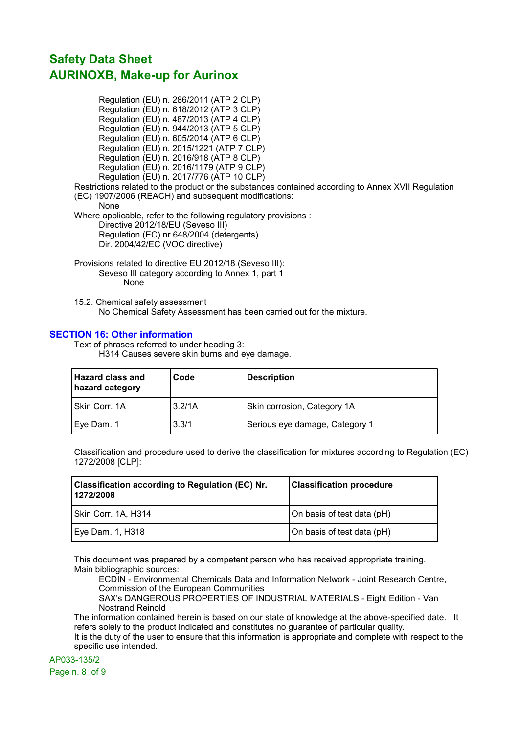Regulation (EU) n. 286/2011 (ATP 2 CLP) Regulation (EU) n. 618/2012 (ATP 3 CLP) Regulation (EU) n. 487/2013 (ATP 4 CLP) Regulation (EU) n. 944/2013 (ATP 5 CLP) Regulation (EU) n. 605/2014 (ATP 6 CLP) Regulation (EU) n. 2015/1221 (ATP 7 CLP) Regulation (EU) n. 2016/918 (ATP 8 CLP) Regulation (EU) n. 2016/1179 (ATP 9 CLP) Regulation (EU) n. 2017/776 (ATP 10 CLP) Restrictions related to the product or the substances contained according to Annex XVII Regulation (EC) 1907/2006 (REACH) and subsequent modifications: None Where applicable, refer to the following regulatory provisions : Directive 2012/18/EU (Seveso III) Regulation (EC) nr 648/2004 (detergents). Dir. 2004/42/EC (VOC directive) Provisions related to directive EU 2012/18 (Seveso III): Seveso III category according to Annex 1, part 1

None

15.2. Chemical safety assessment No Chemical Safety Assessment has been carried out for the mixture.

## SECTION 16: Other information

Text of phrases referred to under heading 3: H314 Causes severe skin burns and eye damage.

| <b>Hazard class and</b><br>hazard category | Code   | <b>Description</b>             |
|--------------------------------------------|--------|--------------------------------|
| Skin Corr. 1A                              | 3.2/1A | Skin corrosion, Category 1A    |
| Eye Dam. 1                                 | 3.3/1  | Serious eye damage, Category 1 |

Classification and procedure used to derive the classification for mixtures according to Regulation (EC) 1272/2008 [CLP]:

| Classification according to Regulation (EC) Nr.<br>1272/2008 | <b>Classification procedure</b> |
|--------------------------------------------------------------|---------------------------------|
| Skin Corr. 1A, H314                                          | On basis of test data (pH)      |
| Eye Dam. 1, H318                                             | On basis of test data (pH)      |

This document was prepared by a competent person who has received appropriate training. Main bibliographic sources:

ECDIN - Environmental Chemicals Data and Information Network - Joint Research Centre, Commission of the European Communities

SAX's DANGEROUS PROPERTIES OF INDUSTRIAL MATERIALS - Eight Edition - Van Nostrand Reinold

The information contained herein is based on our state of knowledge at the above-specified date. It refers solely to the product indicated and constitutes no guarantee of particular quality.

It is the duty of the user to ensure that this information is appropriate and complete with respect to the specific use intended.

AP033-135/2

Page n. 8 of 9